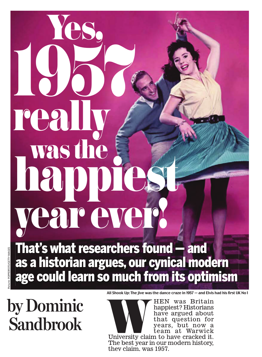## 1957 real was the happiest vear ever!

Yes,

POPPERFOTO/GETTY IMAGES Picture: POPPERFOTO/GETTY IMAGES That's what researchers found — and as a historian argues, our cynical modern age could learn so much from its optimism

**by Dominic** 

**All Shook Up: The jive was the dance craze in 1957 — and Elvis had his first UK No 1** 

**Sandbrook** WHEN was Britain happiest? Historians have argued about that question for years, but now a team at Warwick University claim to have cracked it. The best year in our modern history, they claim, was 1957.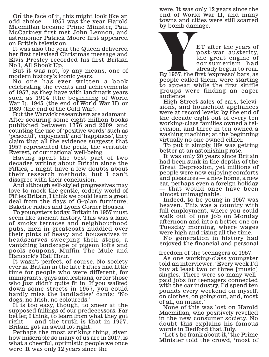y , On the face of it, this might look like an odd choice — 1957 was the year Harold Macmillan became Prime Minister, Paul McCartney first met John Lennon, and astronomer Patrick Moore first appeared on British television.

It was also the year the Queen delivered her first televised Christmas message and Elvis Presley recorded his first British No 1, All Shook Up.

But it was not, by any means, one of modern history's iconic years.

No one has ever written a book celebrating the events and achievements of 1957, as they have with landmark years such as 1914 (the beginning of World War I), 1945 (the end of World War II) or 1989 (the end of the Cold War).

But the Warwick researchers are adamant. After scouring some eight million books published between 1776 and 2009, and counting the use of 'positive words' such as 'peaceful', 'enjoyment' and 'happiness', they claim that all the evidence suggests that 1957 represented the peak, the veritable Everest, of our national well-being.

Having spent the best part of two decades writing about Britain since the Fifties, I might have a few doubts about their research methods, but I can't disagree with their conclusion.

And although self-styled progressives may love to mock the gentle, orderly world of Fifties Britain, I think we could learn a great deal from the days of G-plan furniture, Bakelite radios and Lyons Corner Houses.

To youngsters today, Britain in 1957 must seem like ancient history. This was a land of smoky terraces and neighbourhood pubs, men in greatcoats huddled over their pints of heavy and housewives in headscarves sweeping their steps, a vanishing landscape of pigeon lofts and pools coupons, Muffin The Mule and Hancock's Half Hour.

It wasn't perfect, of course. No society ever is. Britain in the late Fifties had little time for people who were different, for immigrants, gays and lesbians, or for those who just didn't quite fit in. If you walked down some streets in 1957, you could hardly miss the landladies' cards: 'No dogs, no Irish, no coloureds.'

It is too easy, though, to sneer at the supposed failings of our predecessors. Far better, I think, to learn from what they got right — and the truth is that in 1957, Britain got an awful lot right.

Perhaps the most striking thing, given how miserable so many of us are in 2017, is what a cheerful, optimistic people we once were It was only 12 years since the

were. It was only 12 years since the end of World War II, and many towns and cities were still scarred by bomb damage.

> post-war austerity, the great engine of consumerism had

ET after the years of<br>
post-war austerity,<br>
the great engine of<br>
consumerism had<br>
By 1957, the first 'expresso' bars, as<br>
people called them were starting already begun to roar. people called them, were starting to appear, while the first skiffle groups were finding an eager audience.

High Street sales of cars, televisions, and household appliances were at record levels: by the end of the decade eight out of every ten working-class families owned a television, and three in ten owned a washing machine; at the beginning virtually no one owned either.

To put it simply, life was getting better at an astonishing rate.

It was only 20 years since Britain had been sunk in the depths of the Great Depression, yet millions of people were now enjoying comforts and pleasures — a new home, a new car, perhaps even a foreign holiday — that would once have been almost unimaginable.

Indeed, to be young in 1957 was heaven. This was a country with full employment, where you could walk out of one job on Monday afternoon and into a better one on Tuesday morning, where wages were high and rising all the time.

No generation in history had enjoyed the financial and personal

freedom of the teenagers of 1957.

As one working-class youngster told an interviewer: 'Every week I'd buy at least two or three [music] singles. There were so many wellpaid jobs for teenagers connected with the car industry. I'd spend ten pounds every weekend on myself, on clothes, on going out, and, most of all, on music.'

None of this was lost on Harold Macmillan, who positively revelled in the new consumer society. No doubt this explains his famous words in Bedford that July.

'Let's be frank about it,' the Prime Minister told the crowd, 'most of